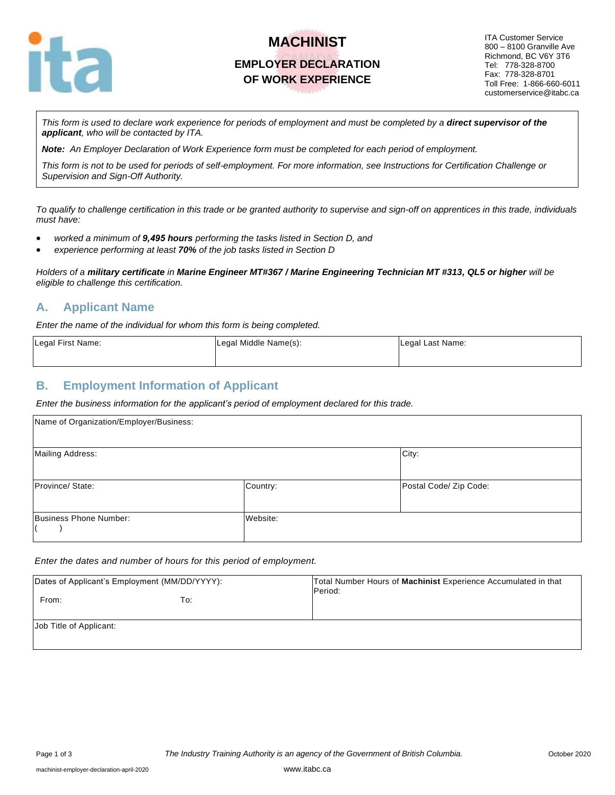

# **MACHINIST EMPLOYER DECLARATION OF WORK EXPERIENCE**

ITA Customer Service 800 – 8100 Granville Ave Richmond, BC V6Y 3T6 Tel: 778-328-8700 Fax: 778-328-8701 Toll Free: 1-866-660-6011 customerservice@itabc.ca

This form is used to declare work experience for periods of employment and must be completed by a **direct supervisor of the** *applicant, who will be contacted by ITA.*

*Note: An Employer Declaration of Work Experience form must be completed for each period of employment.*

*This form is not to be used for periods of self-employment. For more information, see Instructions for Certification Challenge or Supervision and Sign-Off Authority.*

*To qualify to challenge certification in this trade or be granted authority to supervise and sign-off on apprentices in this trade, individuals must have:*

- *worked a minimum of 9,495 hours performing the tasks listed in Section D, and*
- *experience performing at least 70% of the job tasks listed in Section D*

*Holders of a military certificate in Marine Engineer MT#367 / Marine Engineering Technician MT #313, QL5 or higher will be eligible to challenge this certification.*

#### **A. Applicant Name**

*Enter the name of the individual for whom this form is being completed.*

| Legal First Name: | Legal Middle Name(s): | Legal Last Name: |
|-------------------|-----------------------|------------------|
|                   |                       |                  |

#### **B. Employment Information of Applicant**

*Enter the business information for the applicant's period of employment declared for this trade.*

| Name of Organization/Employer/Business: |          |                        |
|-----------------------------------------|----------|------------------------|
| Mailing Address:                        |          | City:                  |
| Province/ State:                        | Country: | Postal Code/ Zip Code: |
| Business Phone Number:                  | Website: |                        |

*Enter the dates and number of hours for this period of employment.*

| Dates of Applicant's Employment (MM/DD/YYYY): |     | Total Number Hours of Machinist Experience Accumulated in that<br>Period: |
|-----------------------------------------------|-----|---------------------------------------------------------------------------|
| From:                                         | To: |                                                                           |
| Job Title of Applicant:                       |     |                                                                           |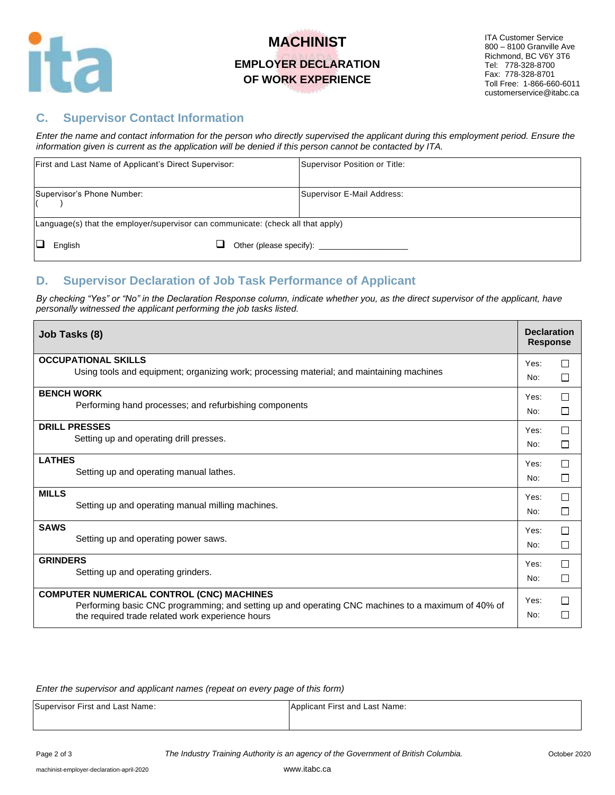

## **MACHINIST EMPLOYER DECLARATION OF WORK EXPERIENCE**

### **C. Supervisor Contact Information**

*Enter the name and contact information for the person who directly supervised the applicant during this employment period. Ensure the information given is current as the application will be denied if this person cannot be contacted by ITA.*

| First and Last Name of Applicant's Direct Supervisor:                            | Supervisor Position or Title: |  |  |
|----------------------------------------------------------------------------------|-------------------------------|--|--|
| Supervisor's Phone Number:                                                       | Supervisor E-Mail Address:    |  |  |
| Language(s) that the employer/supervisor can communicate: (check all that apply) |                               |  |  |
| English                                                                          | Other (please specify):       |  |  |

### **D. Supervisor Declaration of Job Task Performance of Applicant**

*By checking "Yes" or "No" in the Declaration Response column, indicate whether you, as the direct supervisor of the applicant, have personally witnessed the applicant performing the job tasks listed.* 

| Job Tasks (8)                                                                                                                                          | <b>Declaration</b><br><b>Response</b> |         |
|--------------------------------------------------------------------------------------------------------------------------------------------------------|---------------------------------------|---------|
| <b>OCCUPATIONAL SKILLS</b>                                                                                                                             | Yes:                                  | П       |
| Using tools and equipment; organizing work; processing material; and maintaining machines                                                              | No:                                   | □       |
| <b>BENCH WORK</b>                                                                                                                                      | Yes:                                  | $\Box$  |
| Performing hand processes; and refurbishing components                                                                                                 | No:                                   | □       |
| <b>DRILL PRESSES</b>                                                                                                                                   | Yes:                                  | П       |
| Setting up and operating drill presses.                                                                                                                | No:                                   | П       |
| <b>LATHES</b>                                                                                                                                          | Yes:                                  | П       |
| Setting up and operating manual lathes.                                                                                                                | No:                                   | □       |
| <b>MILLS</b>                                                                                                                                           | Yes:                                  | П       |
| Setting up and operating manual milling machines.                                                                                                      | No:                                   | □       |
| <b>SAWS</b>                                                                                                                                            | Yes:                                  | П       |
| Setting up and operating power saws.                                                                                                                   | No:                                   | □       |
| <b>GRINDERS</b>                                                                                                                                        | Yes:                                  | П       |
| Setting up and operating grinders.                                                                                                                     | No:                                   | □       |
| <b>COMPUTER NUMERICAL CONTROL (CNC) MACHINES</b>                                                                                                       | Yes:                                  | П       |
| Performing basic CNC programming; and setting up and operating CNC machines to a maximum of 40% of<br>the required trade related work experience hours | No:                                   | $\perp$ |

*Enter the supervisor and applicant names (repeat on every page of this form)*

Supervisor First and Last Name: Applicant First and Last Name: Applicant First and Last Name:

Page 2 of 3 *The Industry Training Authority is an agency of the Government of British Columbia.* October 2020